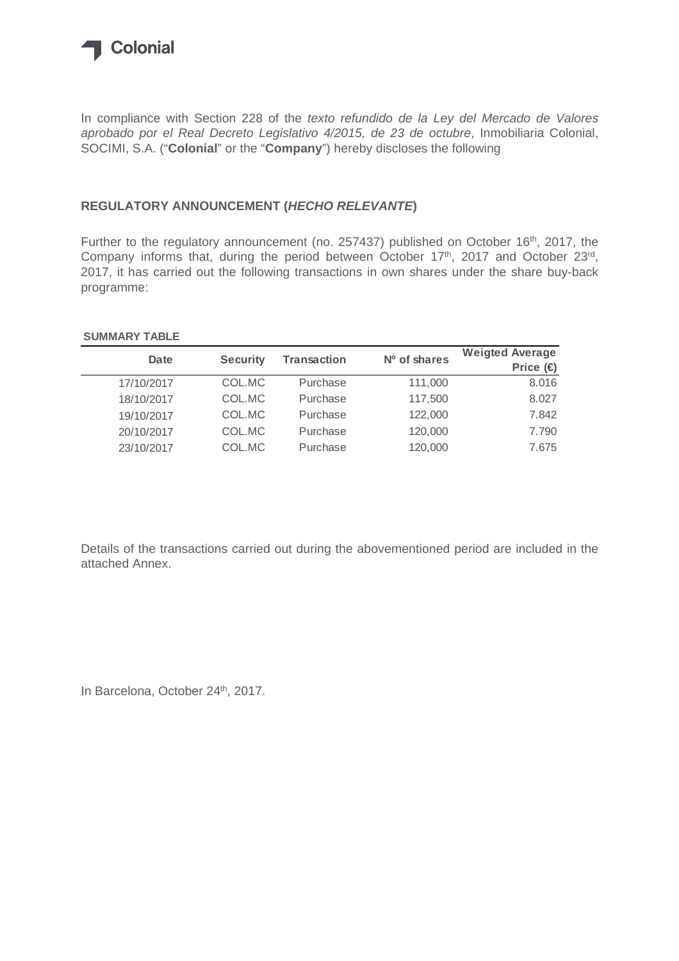

In compliance with Section 228 of the *texto refundido de la Ley del Mercado de Valores aprobado por el Real Decreto Legislativo 4/2015, de 23 de octubre*, Inmobiliaria Colonial, SOCIMI, S.A. ("**Colonial**" or the "**Company**") hereby discloses the following

## **REGULATORY ANNOUNCEMENT (***HECHO RELEVANTE***)**

Further to the regulatory announcement (no. 257437) published on October 16<sup>th</sup>, 2017, the Company informs that, during the period between October  $17<sup>th</sup>$ , 2017 and October  $23<sup>rd</sup>$ , 2017, it has carried out the following transactions in own shares under the share buy-back programme:

## **SUMMARY TABLE**

| <b>Date</b> | <b>Security</b> | <b>Transaction</b> | Nº of shares | <b>Weigted Average</b><br>Price $\bigoplus$ |
|-------------|-----------------|--------------------|--------------|---------------------------------------------|
| 17/10/2017  | COL.MC          | Purchase           | 111,000      | 8.016                                       |
| 18/10/2017  | COL.MC          | Purchase           | 117,500      | 8.027                                       |
| 19/10/2017  | COL.MC          | Purchase           | 122,000      | 7.842                                       |
| 20/10/2017  | COL.MC          | Purchase           | 120,000      | 7.790                                       |
| 23/10/2017  | COL.MC          | Purchase           | 120,000      | 7.675                                       |

Details of the transactions carried out during the abovementioned period are included in the attached Annex.

In Barcelona, October 24th, 2017.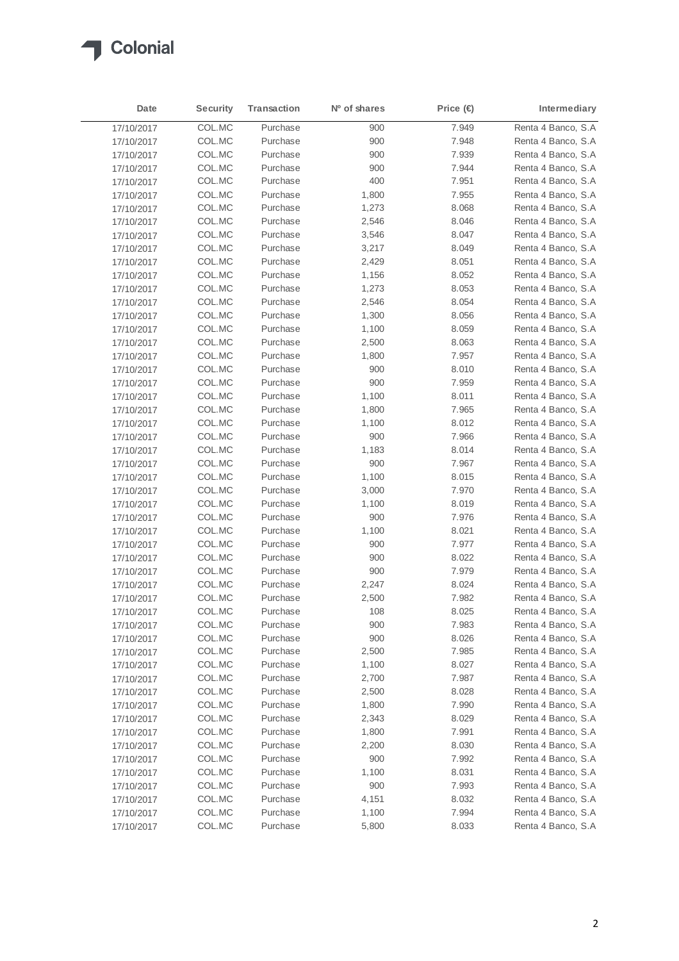

| Date       | <b>Security</b> | Transaction | Nº of shares | Price $\bigoplus$ | Intermediary        |
|------------|-----------------|-------------|--------------|-------------------|---------------------|
| 17/10/2017 | COL.MC          | Purchase    | 900          | 7.949             | Renta 4 Banco, S.A  |
| 17/10/2017 | COL.MC          | Purchase    | 900          | 7.948             | Renta 4 Banco, S.A. |
| 17/10/2017 | COL.MC          | Purchase    | 900          | 7.939             | Renta 4 Banco, S.A  |
| 17/10/2017 | COL.MC          | Purchase    | 900          | 7.944             | Renta 4 Banco, S.A  |
| 17/10/2017 | COL.MC          | Purchase    | 400          | 7.951             | Renta 4 Banco, S.A  |
| 17/10/2017 | COL.MC          | Purchase    | 1,800        | 7.955             | Renta 4 Banco, S.A  |
| 17/10/2017 | COL.MC          | Purchase    | 1,273        | 8.068             | Renta 4 Banco, S.A  |
| 17/10/2017 | COL.MC          | Purchase    | 2,546        | 8.046             | Renta 4 Banco, S.A  |
| 17/10/2017 | COL.MC          | Purchase    | 3,546        | 8.047             | Renta 4 Banco, S.A  |
| 17/10/2017 | COL.MC          | Purchase    | 3,217        | 8.049             | Renta 4 Banco, S.A  |
| 17/10/2017 | COL.MC          | Purchase    | 2,429        | 8.051             | Renta 4 Banco, S.A  |
| 17/10/2017 | COL.MC          | Purchase    | 1,156        | 8.052             | Renta 4 Banco, S.A  |
| 17/10/2017 | COL.MC          | Purchase    | 1,273        | 8.053             | Renta 4 Banco, S.A  |
| 17/10/2017 | COL.MC          | Purchase    | 2,546        | 8.054             | Renta 4 Banco, S.A  |
| 17/10/2017 | COL.MC          | Purchase    | 1,300        | 8.056             | Renta 4 Banco, S.A  |
| 17/10/2017 | COL.MC          | Purchase    | 1,100        | 8.059             | Renta 4 Banco, S.A  |
| 17/10/2017 | COL.MC          | Purchase    | 2,500        | 8.063             | Renta 4 Banco, S.A  |
| 17/10/2017 | COL.MC          | Purchase    | 1,800        | 7.957             | Renta 4 Banco, S.A  |
| 17/10/2017 | COL.MC          | Purchase    | 900          | 8.010             | Renta 4 Banco, S.A  |
| 17/10/2017 | COL.MC          | Purchase    | 900          | 7.959             | Renta 4 Banco, S.A  |
| 17/10/2017 | COL.MC          | Purchase    | 1,100        | 8.011             | Renta 4 Banco, S.A  |
| 17/10/2017 | COL.MC          | Purchase    | 1,800        | 7.965             | Renta 4 Banco, S.A  |
| 17/10/2017 | COL.MC          | Purchase    | 1,100        | 8.012             | Renta 4 Banco, S.A  |
| 17/10/2017 | COL.MC          | Purchase    | 900          | 7.966             | Renta 4 Banco, S.A  |
| 17/10/2017 | COL.MC          | Purchase    | 1,183        | 8.014             | Renta 4 Banco, S.A  |
| 17/10/2017 | COL.MC          | Purchase    | 900          | 7.967             | Renta 4 Banco, S.A  |
| 17/10/2017 | COL.MC          | Purchase    | 1,100        | 8.015             | Renta 4 Banco, S.A  |
| 17/10/2017 | COL.MC          | Purchase    | 3,000        | 7.970             | Renta 4 Banco, S.A  |
| 17/10/2017 | COL.MC          | Purchase    | 1,100        | 8.019             | Renta 4 Banco, S.A  |
| 17/10/2017 | COL.MC          | Purchase    | 900          | 7.976             | Renta 4 Banco, S.A  |
| 17/10/2017 | COL.MC          | Purchase    | 1,100        | 8.021             | Renta 4 Banco, S.A  |
| 17/10/2017 | COL.MC          | Purchase    | 900          | 7.977             | Renta 4 Banco, S.A  |
| 17/10/2017 | COL.MC          | Purchase    | 900          | 8.022             | Renta 4 Banco, S.A  |
| 17/10/2017 | COL.MC          | Purchase    | 900          | 7.979             | Renta 4 Banco, S.A  |
| 17/10/2017 | COL.MC          | Purchase    | 2,247        | 8.024             | Renta 4 Banco, S.A  |
| 17/10/2017 | COL.MC          | Purchase    | 2,500        | 7.982             | Renta 4 Banco, S.A  |
| 17/10/2017 | COL.MC          | Purchase    | 108          | 8.025             | Renta 4 Banco, S.A  |
| 17/10/2017 | COL.MC          | Purchase    | 900          | 7.983             | Renta 4 Banco, S.A  |
| 17/10/2017 | COL.MC          | Purchase    | 900          | 8.026             | Renta 4 Banco, S.A  |
| 17/10/2017 | COL.MC          | Purchase    | 2,500        | 7.985             | Renta 4 Banco, S.A. |
| 17/10/2017 | COL.MC          | Purchase    | 1,100        | 8.027             | Renta 4 Banco, S.A  |
| 17/10/2017 | COL.MC          | Purchase    | 2,700        | 7.987             | Renta 4 Banco, S.A  |
| 17/10/2017 | COL.MC          | Purchase    | 2,500        | 8.028             | Renta 4 Banco, S.A  |
| 17/10/2017 | COL.MC          | Purchase    | 1,800        | 7.990             | Renta 4 Banco, S.A  |
| 17/10/2017 | COL.MC          | Purchase    | 2,343        | 8.029             | Renta 4 Banco, S.A  |
| 17/10/2017 | COL.MC          | Purchase    | 1,800        | 7.991             | Renta 4 Banco, S.A  |
| 17/10/2017 | COL.MC          | Purchase    | 2,200        | 8.030             | Renta 4 Banco, S.A  |
| 17/10/2017 | COL.MC          | Purchase    | 900          | 7.992             | Renta 4 Banco, S.A  |
| 17/10/2017 | COL.MC          | Purchase    | 1,100        | 8.031             | Renta 4 Banco, S.A  |
| 17/10/2017 | COL.MC          | Purchase    | 900          | 7.993             | Renta 4 Banco, S.A  |
| 17/10/2017 | COL.MC          | Purchase    | 4,151        | 8.032             | Renta 4 Banco, S.A  |
| 17/10/2017 | COL.MC          | Purchase    | 1,100        | 7.994             | Renta 4 Banco, S.A  |
| 17/10/2017 | COL.MC          | Purchase    | 5,800        | 8.033             | Renta 4 Banco, S.A. |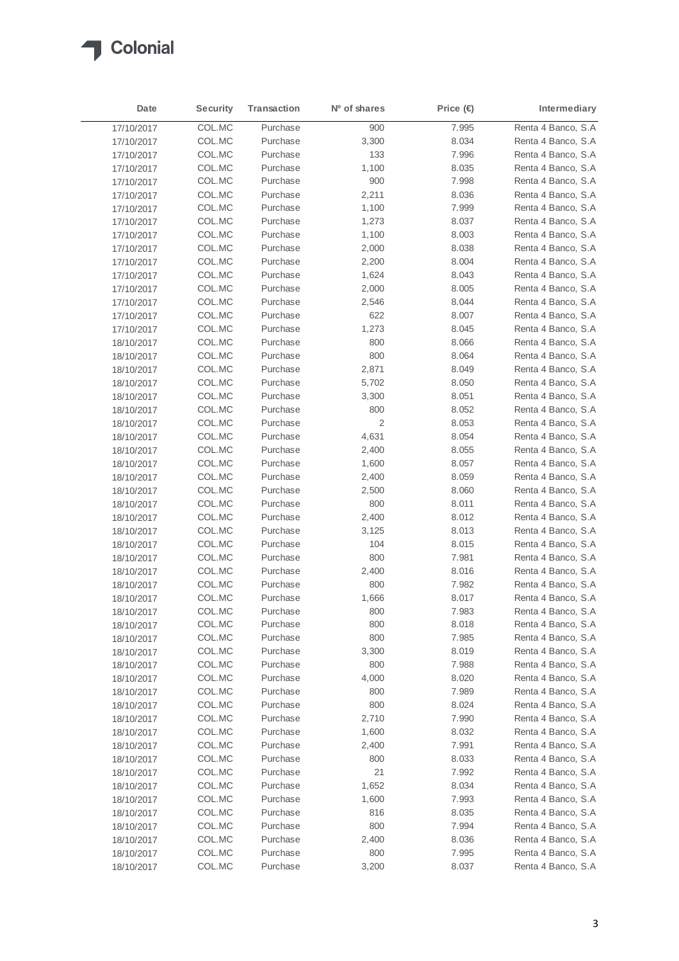

| Date       | <b>Security</b> | <b>Transaction</b> | Nº of shares   | Price $\bigoplus$ | Intermediary        |
|------------|-----------------|--------------------|----------------|-------------------|---------------------|
| 17/10/2017 | COL.MC          | Purchase           | 900            | 7.995             | Renta 4 Banco, S.A  |
| 17/10/2017 | COL.MC          | Purchase           | 3,300          | 8.034             | Renta 4 Banco, S.A  |
| 17/10/2017 | COL.MC          | Purchase           | 133            | 7.996             | Renta 4 Banco, S.A  |
| 17/10/2017 | COL.MC          | Purchase           | 1,100          | 8.035             | Renta 4 Banco, S.A  |
| 17/10/2017 | COL.MC          | Purchase           | 900            | 7.998             | Renta 4 Banco, S.A  |
| 17/10/2017 | COL.MC          | Purchase           | 2,211          | 8.036             | Renta 4 Banco, S.A  |
| 17/10/2017 | COL.MC          | Purchase           | 1,100          | 7.999             | Renta 4 Banco, S.A  |
| 17/10/2017 | COL.MC          | Purchase           | 1,273          | 8.037             | Renta 4 Banco, S.A. |
| 17/10/2017 | COL.MC          | Purchase           | 1,100          | 8.003             | Renta 4 Banco, S.A  |
| 17/10/2017 | COL.MC          | Purchase           | 2,000          | 8.038             | Renta 4 Banco, S.A  |
| 17/10/2017 | COL.MC          | Purchase           | 2,200          | 8.004             | Renta 4 Banco, S.A  |
| 17/10/2017 | COL.MC          | Purchase           | 1,624          | 8.043             | Renta 4 Banco, S.A  |
| 17/10/2017 | COL.MC          | Purchase           | 2,000          | 8.005             | Renta 4 Banco, S.A  |
| 17/10/2017 | COL.MC          | Purchase           | 2,546          | 8.044             | Renta 4 Banco, S.A  |
| 17/10/2017 | COL.MC          | Purchase           | 622            | 8.007             | Renta 4 Banco, S.A  |
| 17/10/2017 | COL.MC          | Purchase           | 1,273          | 8.045             | Renta 4 Banco, S.A  |
| 18/10/2017 | COL.MC          | Purchase           | 800            | 8.066             | Renta 4 Banco, S.A  |
| 18/10/2017 | COL.MC          | Purchase           | 800            | 8.064             | Renta 4 Banco, S.A  |
| 18/10/2017 | COL.MC          | Purchase           | 2,871          | 8.049             | Renta 4 Banco, S.A  |
| 18/10/2017 | COL.MC          | Purchase           | 5,702          | 8.050             | Renta 4 Banco, S.A  |
| 18/10/2017 | COL.MC          | Purchase           | 3,300          | 8.051             | Renta 4 Banco, S.A  |
| 18/10/2017 | COL.MC          | Purchase           | 800            | 8.052             | Renta 4 Banco, S.A  |
| 18/10/2017 | COL.MC          | Purchase           | $\overline{2}$ | 8.053             | Renta 4 Banco, S.A  |
| 18/10/2017 | COL.MC          | Purchase           | 4,631          | 8.054             | Renta 4 Banco, S.A  |
| 18/10/2017 | COL.MC          | Purchase           | 2,400          | 8.055             | Renta 4 Banco, S.A  |
| 18/10/2017 | COL.MC          | Purchase           | 1,600          | 8.057             | Renta 4 Banco, S.A  |
| 18/10/2017 | COL.MC          | Purchase           | 2,400          | 8.059             | Renta 4 Banco, S.A  |
| 18/10/2017 | COL.MC          | Purchase           | 2,500          | 8.060             | Renta 4 Banco, S.A  |
| 18/10/2017 | COL.MC          | Purchase           | 800            | 8.011             | Renta 4 Banco, S.A  |
| 18/10/2017 | COL.MC          | Purchase           | 2,400          | 8.012             | Renta 4 Banco, S.A  |
| 18/10/2017 | COL.MC          | Purchase           | 3,125          | 8.013             | Renta 4 Banco, S.A  |
| 18/10/2017 | COL.MC          | Purchase           | 104            | 8.015             | Renta 4 Banco, S.A  |
| 18/10/2017 | COL.MC          | Purchase           | 800            | 7.981             | Renta 4 Banco, S.A  |
| 18/10/2017 | COL.MC          | Purchase           | 2,400          | 8.016             | Renta 4 Banco, S.A  |
| 18/10/2017 | COL.MC          | Purchase           | 800            | 7.982             | Renta 4 Banco, S.A  |
| 18/10/2017 | COL.MC          | Purchase           | 1,666          | 8.017             | Renta 4 Banco, S.A  |
| 18/10/2017 | COL.MC          | Purchase           | 800            | 7.983             | Renta 4 Banco, S.A  |
| 18/10/2017 | COL.MC          | Purchase           | 800            | 8.018             | Renta 4 Banco, S.A  |
| 18/10/2017 | COL.MC          | Purchase           | 800            | 7.985             | Renta 4 Banco, S.A  |
| 18/10/2017 | COL.MC          | Purchase           | 3,300          | 8.019             | Renta 4 Banco, S.A. |
| 18/10/2017 | COL.MC          | Purchase           | 800            | 7.988             | Renta 4 Banco, S.A  |
| 18/10/2017 | COL.MC          | Purchase           | 4,000          | 8.020             | Renta 4 Banco, S.A  |
| 18/10/2017 | COL.MC          | Purchase           | 800            | 7.989             | Renta 4 Banco, S.A  |
| 18/10/2017 | COL.MC          | Purchase           | 800            | 8.024             | Renta 4 Banco, S.A  |
| 18/10/2017 | COL.MC          | Purchase           | 2,710          | 7.990             | Renta 4 Banco, S.A  |
| 18/10/2017 | COL.MC          | Purchase           | 1,600          | 8.032             | Renta 4 Banco, S.A  |
| 18/10/2017 | COL.MC          | Purchase           | 2,400          | 7.991             | Renta 4 Banco, S.A  |
| 18/10/2017 | COL.MC          | Purchase           | 800            | 8.033             | Renta 4 Banco, S.A  |
| 18/10/2017 | COL.MC          | Purchase           | 21             | 7.992             | Renta 4 Banco, S.A  |
| 18/10/2017 | COL.MC          | Purchase           | 1,652          | 8.034             | Renta 4 Banco, S.A  |
| 18/10/2017 | COL.MC          | Purchase           | 1,600          | 7.993             | Renta 4 Banco, S.A  |
| 18/10/2017 | COL.MC          | Purchase           | 816            | 8.035             | Renta 4 Banco, S.A  |
| 18/10/2017 | COL.MC          | Purchase           | 800            | 7.994             | Renta 4 Banco, S.A  |
| 18/10/2017 | COL.MC          | Purchase           | 2,400          | 8.036             | Renta 4 Banco, S.A  |
| 18/10/2017 | COL.MC          | Purchase           | 800            | 7.995             | Renta 4 Banco, S.A  |
| 18/10/2017 | COL.MC          | Purchase           | 3,200          | 8.037             | Renta 4 Banco, S.A  |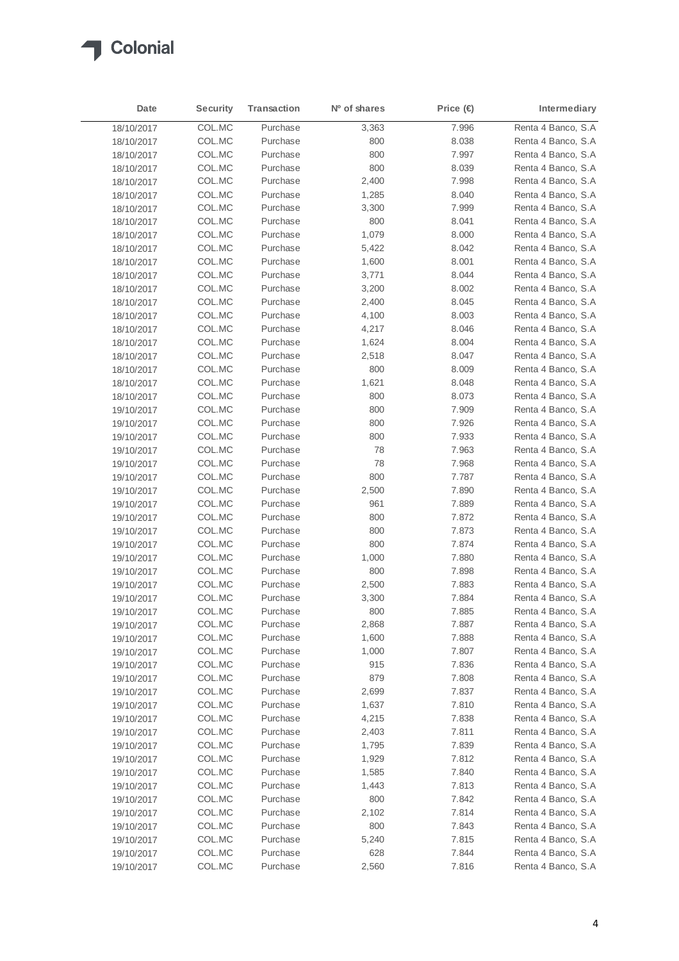

| Date       | <b>Security</b>  | <b>Transaction</b>   | Nº of shares | Price (€) | Intermediary                             |
|------------|------------------|----------------------|--------------|-----------|------------------------------------------|
| 18/10/2017 | COL.MC           | Purchase             | 3,363        | 7.996     | Renta 4 Banco, S.A                       |
| 18/10/2017 | COL.MC           | Purchase             | 800          | 8.038     | Renta 4 Banco, S.A                       |
| 18/10/2017 | COL.MC           | Purchase             | 800          | 7.997     | Renta 4 Banco, S.A                       |
| 18/10/2017 | COL.MC           | Purchase             | 800          | 8.039     | Renta 4 Banco, S.A                       |
| 18/10/2017 | COL.MC           | Purchase             | 2,400        | 7.998     | Renta 4 Banco, S.A                       |
| 18/10/2017 | COL.MC           | Purchase             | 1,285        | 8.040     | Renta 4 Banco, S.A                       |
| 18/10/2017 | COL.MC           | Purchase             | 3,300        | 7.999     | Renta 4 Banco, S.A                       |
| 18/10/2017 | COL.MC           | Purchase             | 800          | 8.041     | Renta 4 Banco, S.A                       |
| 18/10/2017 | COL.MC           | Purchase             | 1,079        | 8.000     | Renta 4 Banco, S.A                       |
| 18/10/2017 | COL.MC           | Purchase             | 5,422        | 8.042     | Renta 4 Banco, S.A                       |
| 18/10/2017 | COL.MC           | Purchase             | 1,600        | 8.001     | Renta 4 Banco, S.A                       |
| 18/10/2017 | COL.MC           | Purchase             | 3,771        | 8.044     | Renta 4 Banco, S.A                       |
| 18/10/2017 | COL.MC           | Purchase             | 3,200        | 8.002     | Renta 4 Banco, S.A                       |
| 18/10/2017 | COL.MC           | Purchase             | 2,400        | 8.045     | Renta 4 Banco, S.A                       |
| 18/10/2017 | COL.MC           | Purchase             | 4,100        | 8.003     | Renta 4 Banco, S.A                       |
| 18/10/2017 | COL.MC           | Purchase             | 4,217        | 8.046     | Renta 4 Banco, S.A                       |
|            | COL.MC           | Purchase             | 1,624        | 8.004     | Renta 4 Banco, S.A                       |
| 18/10/2017 | COL.MC           | Purchase             | 2,518        | 8.047     | Renta 4 Banco, S.A                       |
| 18/10/2017 | COL.MC           | Purchase             | 800          | 8.009     | Renta 4 Banco, S.A                       |
| 18/10/2017 | COL.MC           | Purchase             |              | 8.048     | Renta 4 Banco, S.A                       |
| 18/10/2017 |                  | Purchase             | 1,621        |           | Renta 4 Banco, S.A                       |
| 18/10/2017 | COL.MC           | Purchase             | 800          | 8.073     |                                          |
| 19/10/2017 | COL.MC           | Purchase             | 800          | 7.909     | Renta 4 Banco, S.A<br>Renta 4 Banco, S.A |
| 19/10/2017 | COL.MC           |                      | 800          | 7.926     | Renta 4 Banco, S.A                       |
| 19/10/2017 | COL.MC           | Purchase             | 800          | 7.933     | Renta 4 Banco, S.A                       |
| 19/10/2017 | COL.MC           | Purchase             | 78           | 7.963     |                                          |
| 19/10/2017 | COL.MC           | Purchase             | 78           | 7.968     | Renta 4 Banco, S.A                       |
| 19/10/2017 | COL.MC           | Purchase             | 800          | 7.787     | Renta 4 Banco, S.A                       |
| 19/10/2017 | COL.MC           | Purchase             | 2,500        | 7.890     | Renta 4 Banco, S.A                       |
| 19/10/2017 | COL.MC           | Purchase             | 961          | 7.889     | Renta 4 Banco, S.A                       |
| 19/10/2017 | COL.MC           | Purchase             | 800          | 7.872     | Renta 4 Banco, S.A                       |
| 19/10/2017 | COL.MC           | Purchase             | 800          | 7.873     | Renta 4 Banco, S.A                       |
| 19/10/2017 | COL.MC           | Purchase             | 800          | 7.874     | Renta 4 Banco, S.A                       |
| 19/10/2017 | COL.MC           | Purchase             | 1,000        | 7.880     | Renta 4 Banco, S.A                       |
| 19/10/2017 | COL.MC           | Purchase             | 800          | 7.898     | Renta 4 Banco, S.A                       |
| 19/10/2017 | COL.MC<br>COL.MC | Purchase<br>Purchase | 2,500        | 7.883     | Renta 4 Banco, S.A                       |
| 19/10/2017 |                  |                      | 3,300        | 7.884     | Renta 4 Banco, S.A                       |
| 19/10/2017 | COL.MC           | Purchase             | 800          | 7.885     | Renta 4 Banco, S.A                       |
| 19/10/2017 | COL.MC           | Purchase             | 2,868        | 7.887     | Renta 4 Banco, S.A                       |
| 19/10/2017 | COL.MC           | Purchase             | 1,600        | 7.888     | Renta 4 Banco, S.A                       |
| 19/10/2017 | COL.MC           | Purchase             | 1,000        | 7.807     | Renta 4 Banco, S.A.                      |
| 19/10/2017 | COL.MC           | Purchase             | 915          | 7.836     | Renta 4 Banco, S.A                       |
| 19/10/2017 | COL.MC           | Purchase             | 879          | 7.808     | Renta 4 Banco, S.A                       |
| 19/10/2017 | COL.MC           | Purchase             | 2,699        | 7.837     | Renta 4 Banco, S.A                       |
| 19/10/2017 | COL.MC           | Purchase             | 1,637        | 7.810     | Renta 4 Banco, S.A                       |
| 19/10/2017 | COL.MC           | Purchase             | 4,215        | 7.838     | Renta 4 Banco, S.A                       |
| 19/10/2017 | COL.MC           | Purchase             | 2,403        | 7.811     | Renta 4 Banco, S.A                       |
| 19/10/2017 | COL.MC           | Purchase             | 1,795        | 7.839     | Renta 4 Banco, S.A                       |
| 19/10/2017 | COL.MC           | Purchase             | 1,929        | 7.812     | Renta 4 Banco, S.A                       |
| 19/10/2017 | COL.MC           | Purchase             | 1,585        | 7.840     | Renta 4 Banco, S.A                       |
| 19/10/2017 | COL.MC           | Purchase             | 1,443        | 7.813     | Renta 4 Banco, S.A                       |
| 19/10/2017 | COL.MC           | Purchase             | 800          | 7.842     | Renta 4 Banco, S.A.                      |
| 19/10/2017 | COL.MC           | Purchase             | 2,102        | 7.814     | Renta 4 Banco, S.A                       |
| 19/10/2017 | COL.MC           | Purchase             | 800          | 7.843     | Renta 4 Banco, S.A                       |
| 19/10/2017 | COL.MC           | Purchase             | 5,240        | 7.815     | Renta 4 Banco, S.A                       |
| 19/10/2017 | COL.MC           | Purchase             | 628          | 7.844     | Renta 4 Banco, S.A                       |
| 19/10/2017 | COL.MC           | Purchase             | 2,560        | 7.816     | Renta 4 Banco, S.A                       |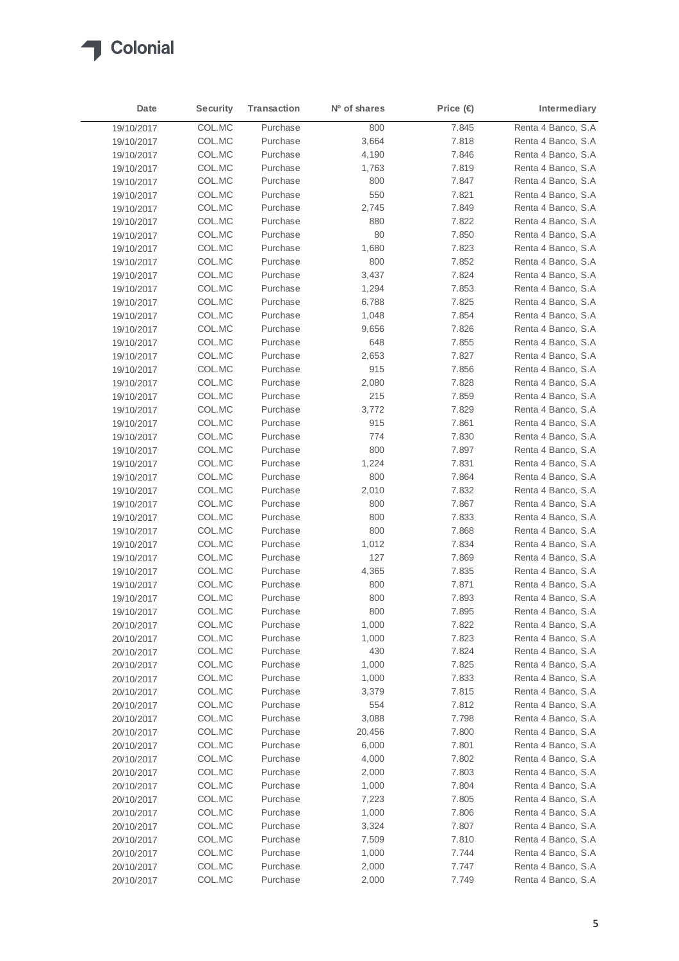

| Date       | <b>Security</b> | <b>Transaction</b> | Nº of shares | Price $\bigoplus$ | Intermediary        |
|------------|-----------------|--------------------|--------------|-------------------|---------------------|
| 19/10/2017 | COL.MC          | Purchase           | 800          | 7.845             | Renta 4 Banco, S.A  |
| 19/10/2017 | COL.MC          | Purchase           | 3,664        | 7.818             | Renta 4 Banco, S.A  |
| 19/10/2017 | COL.MC          | Purchase           | 4,190        | 7.846             | Renta 4 Banco, S.A  |
| 19/10/2017 | COL.MC          | Purchase           | 1,763        | 7.819             | Renta 4 Banco, S.A  |
| 19/10/2017 | COL.MC          | Purchase           | 800          | 7.847             | Renta 4 Banco, S.A  |
| 19/10/2017 | COL.MC          | Purchase           | 550          | 7.821             | Renta 4 Banco, S.A  |
| 19/10/2017 | COL.MC          | Purchase           | 2,745        | 7.849             | Renta 4 Banco, S.A  |
| 19/10/2017 | COL.MC          | Purchase           | 880          | 7.822             | Renta 4 Banco, S.A  |
| 19/10/2017 | COL.MC          | Purchase           | 80           | 7.850             | Renta 4 Banco, S.A  |
| 19/10/2017 | COL.MC          | Purchase           | 1,680        | 7.823             | Renta 4 Banco, S.A  |
| 19/10/2017 | COL.MC          | Purchase           | 800          | 7.852             | Renta 4 Banco, S.A  |
| 19/10/2017 | COL.MC          | Purchase           | 3,437        | 7.824             | Renta 4 Banco, S.A  |
| 19/10/2017 | COL.MC          | Purchase           | 1,294        | 7.853             | Renta 4 Banco, S.A  |
| 19/10/2017 | COL.MC          | Purchase           | 6,788        | 7.825             | Renta 4 Banco, S.A  |
| 19/10/2017 | COL.MC          | Purchase           | 1,048        | 7.854             | Renta 4 Banco, S.A  |
| 19/10/2017 | COL.MC          | Purchase           | 9,656        | 7.826             | Renta 4 Banco, S.A  |
| 19/10/2017 | COL.MC          | Purchase           | 648          | 7.855             | Renta 4 Banco, S.A  |
| 19/10/2017 | COL.MC          | Purchase           | 2,653        | 7.827             | Renta 4 Banco, S.A  |
| 19/10/2017 | COL.MC          | Purchase           | 915          | 7.856             | Renta 4 Banco, S.A  |
| 19/10/2017 | COL.MC          | Purchase           | 2,080        | 7.828             | Renta 4 Banco, S.A  |
| 19/10/2017 | COL.MC          | Purchase           | 215          | 7.859             | Renta 4 Banco, S.A  |
| 19/10/2017 | COL.MC          | Purchase           | 3,772        | 7.829             | Renta 4 Banco, S.A  |
| 19/10/2017 | COL.MC          | Purchase           | 915          | 7.861             | Renta 4 Banco, S.A  |
| 19/10/2017 | COL.MC          | Purchase           | 774          | 7.830             | Renta 4 Banco, S.A  |
| 19/10/2017 | COL.MC          | Purchase           | 800          | 7.897             | Renta 4 Banco, S.A  |
| 19/10/2017 | COL.MC          | Purchase           | 1,224        | 7.831             | Renta 4 Banco, S.A  |
| 19/10/2017 | COL.MC          | Purchase           | 800          | 7.864             | Renta 4 Banco, S.A  |
| 19/10/2017 | COL.MC          | Purchase           | 2,010        | 7.832             | Renta 4 Banco, S.A  |
| 19/10/2017 | COL.MC          | Purchase           | 800          | 7.867             | Renta 4 Banco, S.A  |
| 19/10/2017 | COL.MC          | Purchase           | 800          | 7.833             | Renta 4 Banco, S.A  |
| 19/10/2017 | COL.MC          | Purchase           | 800          | 7.868             | Renta 4 Banco, S.A  |
| 19/10/2017 | COL.MC          | Purchase           | 1,012        | 7.834             | Renta 4 Banco, S.A  |
| 19/10/2017 | COL.MC          | Purchase           | 127          | 7.869             | Renta 4 Banco, S.A  |
| 19/10/2017 | COL.MC          | Purchase           | 4,365        | 7.835             | Renta 4 Banco, S.A  |
| 19/10/2017 | COL.MC          | Purchase           | 800          | 7.871             | Renta 4 Banco, S.A  |
| 19/10/2017 | COL.MC          | Purchase           | 800          | 7.893             | Renta 4 Banco, S.A  |
| 19/10/2017 | COL.MC          | Purchase           | 800          | 7.895             | Renta 4 Banco, S.A  |
| 20/10/2017 | COL.MC          | Purchase           | 1,000        | 7.822             | Renta 4 Banco, S.A  |
| 20/10/2017 | COL.MC          | Purchase           | 1,000        | 7.823             | Renta 4 Banco, S.A  |
| 20/10/2017 | COL.MC          | Purchase           | 430          | 7.824             | Renta 4 Banco, S.A  |
| 20/10/2017 | COL.MC          | Purchase           | 1,000        | 7.825             | Renta 4 Banco, S.A  |
| 20/10/2017 | COL.MC          | Purchase           | 1,000        | 7.833             | Renta 4 Banco, S.A  |
| 20/10/2017 | COL.MC          | Purchase           | 3,379        | 7.815             | Renta 4 Banco, S.A  |
| 20/10/2017 | COL.MC          | Purchase           | 554          | 7.812             | Renta 4 Banco, S.A  |
| 20/10/2017 | COL.MC          | Purchase           | 3,088        | 7.798             | Renta 4 Banco, S.A  |
| 20/10/2017 | COL.MC          | Purchase           | 20,456       | 7.800             | Renta 4 Banco, S.A  |
| 20/10/2017 | COL.MC          | Purchase           | 6,000        | 7.801             | Renta 4 Banco, S.A  |
| 20/10/2017 | COL.MC          | Purchase           | 4,000        | 7.802             | Renta 4 Banco, S.A  |
| 20/10/2017 | COL.MC          | Purchase           | 2,000        | 7.803             | Renta 4 Banco, S.A  |
| 20/10/2017 | COL.MC          | Purchase           | 1,000        | 7.804             | Renta 4 Banco, S.A  |
| 20/10/2017 | COL.MC          | Purchase           | 7,223        | 7.805             | Renta 4 Banco, S.A  |
| 20/10/2017 | COL.MC          | Purchase           | 1,000        | 7.806             | Renta 4 Banco, S.A  |
| 20/10/2017 | COL.MC          | Purchase           | 3,324        | 7.807             | Renta 4 Banco, S.A. |
| 20/10/2017 | COL.MC          | Purchase           | 7,509        | 7.810             | Renta 4 Banco, S.A  |
| 20/10/2017 | COL.MC          | Purchase           | 1,000        | 7.744             | Renta 4 Banco, S.A  |
| 20/10/2017 | COL.MC          | Purchase           | 2,000        | 7.747             | Renta 4 Banco, S.A  |
| 20/10/2017 | COL.MC          | Purchase           | 2,000        | 7.749             | Renta 4 Banco, S.A  |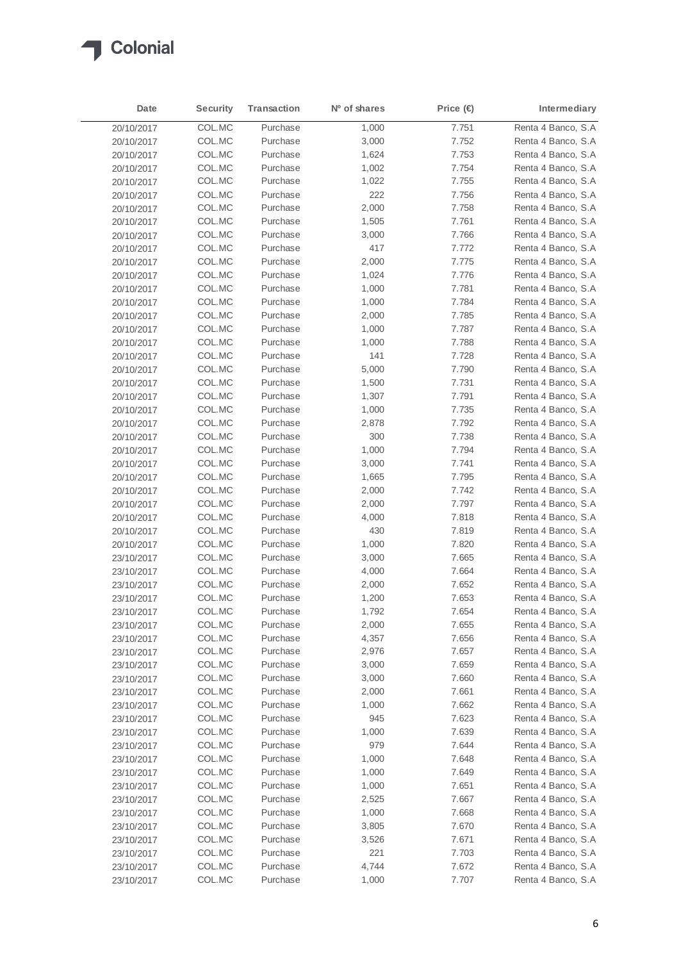

| Date       | <b>Security</b> | Transaction | Nº of shares | Price (€ | Intermediary       |
|------------|-----------------|-------------|--------------|----------|--------------------|
| 20/10/2017 | COL.MC          | Purchase    | 1,000        | 7.751    | Renta 4 Banco, S.A |
| 20/10/2017 | COL.MC          | Purchase    | 3,000        | 7.752    | Renta 4 Banco, S.A |
| 20/10/2017 | COL.MC          | Purchase    | 1,624        | 7.753    | Renta 4 Banco, S.A |
| 20/10/2017 | COL.MC          | Purchase    | 1,002        | 7.754    | Renta 4 Banco, S.A |
| 20/10/2017 | COL.MC          | Purchase    | 1,022        | 7.755    | Renta 4 Banco, S.A |
| 20/10/2017 | COL.MC          | Purchase    | 222          | 7.756    | Renta 4 Banco, S.A |
| 20/10/2017 | COL.MC          | Purchase    | 2,000        | 7.758    | Renta 4 Banco, S.A |
| 20/10/2017 | COL.MC          | Purchase    | 1,505        | 7.761    | Renta 4 Banco, S.A |
| 20/10/2017 | COL.MC          | Purchase    | 3,000        | 7.766    | Renta 4 Banco, S.A |
| 20/10/2017 | COL.MC          | Purchase    | 417          | 7.772    | Renta 4 Banco, S.A |
| 20/10/2017 | COL.MC          | Purchase    | 2,000        | 7.775    | Renta 4 Banco, S.A |
| 20/10/2017 | COL.MC          | Purchase    | 1,024        | 7.776    | Renta 4 Banco, S.A |
| 20/10/2017 | COL.MC          | Purchase    | 1,000        | 7.781    | Renta 4 Banco, S.A |
| 20/10/2017 | COL.MC          | Purchase    | 1,000        | 7.784    | Renta 4 Banco, S.A |
| 20/10/2017 | COL.MC          | Purchase    | 2,000        | 7.785    | Renta 4 Banco, S.A |
| 20/10/2017 | COL.MC          | Purchase    | 1,000        | 7.787    | Renta 4 Banco, S.A |
| 20/10/2017 | COL.MC          | Purchase    | 1,000        | 7.788    | Renta 4 Banco, S.A |
| 20/10/2017 | COL.MC          | Purchase    | 141          | 7.728    | Renta 4 Banco, S.A |
| 20/10/2017 | COL.MC          | Purchase    | 5,000        | 7.790    | Renta 4 Banco, S.A |
| 20/10/2017 | COL.MC          | Purchase    | 1,500        | 7.731    | Renta 4 Banco, S.A |
| 20/10/2017 | COL.MC          | Purchase    | 1,307        | 7.791    | Renta 4 Banco, S.A |
| 20/10/2017 | COL.MC          | Purchase    | 1,000        | 7.735    | Renta 4 Banco, S.A |
| 20/10/2017 | COL.MC          | Purchase    | 2,878        | 7.792    | Renta 4 Banco, S.A |
| 20/10/2017 | COL.MC          | Purchase    | 300          | 7.738    | Renta 4 Banco, S.A |
| 20/10/2017 | COL.MC          | Purchase    | 1,000        | 7.794    | Renta 4 Banco, S.A |
| 20/10/2017 | COL.MC          | Purchase    | 3,000        | 7.741    | Renta 4 Banco, S.A |
| 20/10/2017 | COL.MC          | Purchase    | 1,665        | 7.795    | Renta 4 Banco, S.A |
| 20/10/2017 | COL.MC          | Purchase    | 2,000        | 7.742    | Renta 4 Banco, S.A |
| 20/10/2017 | COL.MC          | Purchase    | 2,000        | 7.797    | Renta 4 Banco, S.A |
| 20/10/2017 | COL.MC          | Purchase    | 4,000        | 7.818    | Renta 4 Banco, S.A |
| 20/10/2017 | COL.MC          | Purchase    | 430          | 7.819    | Renta 4 Banco, S.A |
| 20/10/2017 | COL.MC          | Purchase    | 1,000        | 7.820    | Renta 4 Banco, S.A |
| 23/10/2017 | COL.MC          | Purchase    | 3,000        | 7.665    | Renta 4 Banco, S.A |
| 23/10/2017 | COL.MC          | Purchase    | 4,000        | 7.664    | Renta 4 Banco, S.A |
| 23/10/2017 | COL.MC          | Purchase    | 2,000        | 7.652    | Renta 4 Banco, S.A |
| 23/10/2017 | COL.MC          | Purchase    | 1,200        | 7.653    | Renta 4 Banco, S.A |
| 23/10/2017 | COL.MC          | Purchase    | 1,792        | 7.654    | Renta 4 Banco, S.A |
| 23/10/2017 | COL.MC          | Purchase    | 2,000        | 7.655    | Renta 4 Banco, S.A |
| 23/10/2017 | COL.MC          | Purchase    | 4,357        | 7.656    | Renta 4 Banco, S.A |
| 23/10/2017 | COL.MC          | Purchase    | 2,976        | 7.657    | Renta 4 Banco, S.A |
| 23/10/2017 | COL.MC          | Purchase    | 3,000        | 7.659    | Renta 4 Banco, S.A |
| 23/10/2017 | COL.MC          | Purchase    | 3,000        | 7.660    | Renta 4 Banco, S.A |
| 23/10/2017 | COL.MC          | Purchase    | 2,000        | 7.661    | Renta 4 Banco, S.A |
| 23/10/2017 | COL.MC          | Purchase    | 1,000        | 7.662    | Renta 4 Banco, S.A |
| 23/10/2017 | COL.MC          | Purchase    | 945          | 7.623    | Renta 4 Banco, S.A |
| 23/10/2017 | COL.MC          | Purchase    | 1,000        | 7.639    | Renta 4 Banco, S.A |
| 23/10/2017 | COL.MC          | Purchase    | 979          | 7.644    | Renta 4 Banco, S.A |
| 23/10/2017 | COL.MC          | Purchase    | 1,000        | 7.648    | Renta 4 Banco, S.A |
| 23/10/2017 | COL.MC          | Purchase    | 1,000        | 7.649    | Renta 4 Banco, S.A |
| 23/10/2017 | COL.MC          | Purchase    | 1,000        | 7.651    | Renta 4 Banco, S.A |
| 23/10/2017 | COL.MC          | Purchase    | 2,525        | 7.667    | Renta 4 Banco, S.A |
| 23/10/2017 | COL.MC          | Purchase    | 1,000        | 7.668    | Renta 4 Banco, S.A |
| 23/10/2017 | COL.MC          | Purchase    | 3,805        | 7.670    | Renta 4 Banco, S.A |
| 23/10/2017 | COL.MC          | Purchase    | 3,526        | 7.671    | Renta 4 Banco, S.A |
| 23/10/2017 | COL.MC          | Purchase    | 221          | 7.703    | Renta 4 Banco, S.A |
| 23/10/2017 | COL.MC          | Purchase    | 4,744        | 7.672    | Renta 4 Banco, S.A |
| 23/10/2017 | COL.MC          | Purchase    | 1,000        | 7.707    | Renta 4 Banco, S.A |